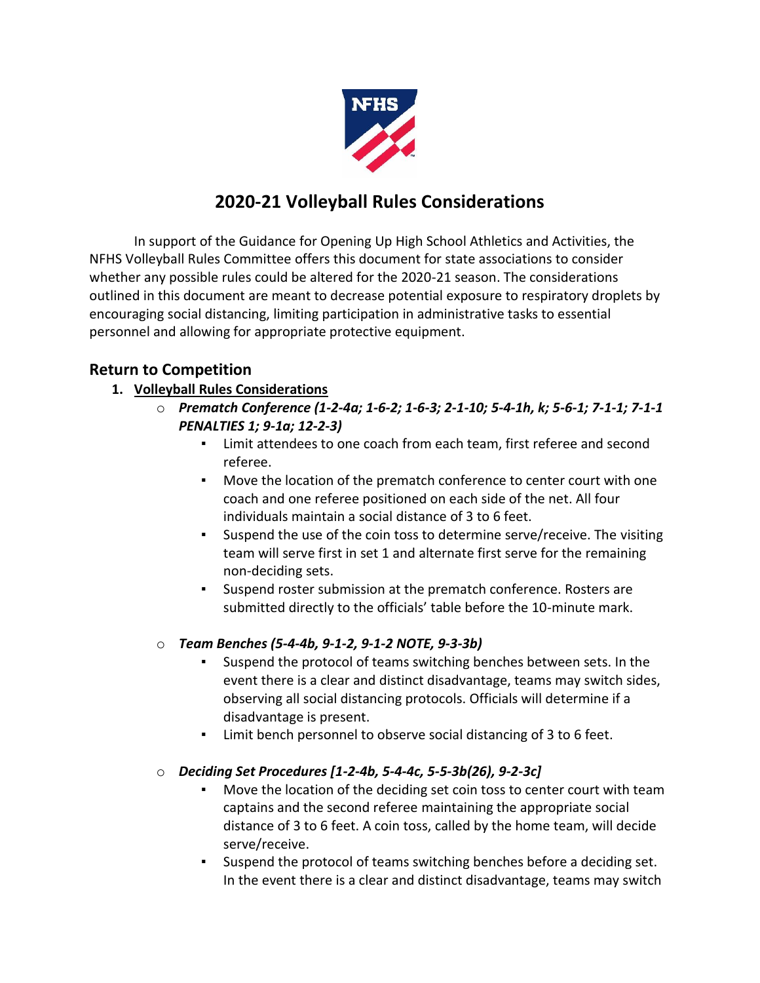

# **2020-21 Volleyball Rules Considerations**

In support of the Guidance for Opening Up High School Athletics and Activities, the NFHS Volleyball Rules Committee offers this document for state associations to consider whether any possible rules could be altered for the 2020-21 season. The considerations outlined in this document are meant to decrease potential exposure to respiratory droplets by encouraging social distancing, limiting participation in administrative tasks to essential personnel and allowing for appropriate protective equipment.

## **Return to Competition**

- **1. Volleyball Rules Considerations**
	- o *Prematch Conference (1-2-4a; 1-6-2; 1-6-3; 2-1-10; 5-4-1h, k; 5-6-1; 7-1-1; 7-1-1 PENALTIES 1; 9-1a; 12-2-3)* 
		- Limit attendees to one coach from each team, first referee and second referee.
		- Move the location of the prematch conference to center court with one coach and one referee positioned on each side of the net. All four individuals maintain a social distance of 3 to 6 feet.
		- Suspend the use of the coin toss to determine serve/receive. The visiting team will serve first in set 1 and alternate first serve for the remaining non-deciding sets.
		- Suspend roster submission at the prematch conference. Rosters are submitted directly to the officials' table before the 10-minute mark.

#### o *Team Benches (5-4-4b, 9-1-2, 9-1-2 NOTE, 9-3-3b)*

- Suspend the protocol of teams switching benches between sets. In the event there is a clear and distinct disadvantage, teams may switch sides, observing all social distancing protocols. Officials will determine if a disadvantage is present.
- Limit bench personnel to observe social distancing of 3 to 6 feet.
- o *Deciding Set Procedures [1-2-4b, 5-4-4c, 5-5-3b(26), 9-2-3c]*
	- Move the location of the deciding set coin toss to center court with team captains and the second referee maintaining the appropriate social distance of 3 to 6 feet. A coin toss, called by the home team, will decide serve/receive.
	- Suspend the protocol of teams switching benches before a deciding set. In the event there is a clear and distinct disadvantage, teams may switch